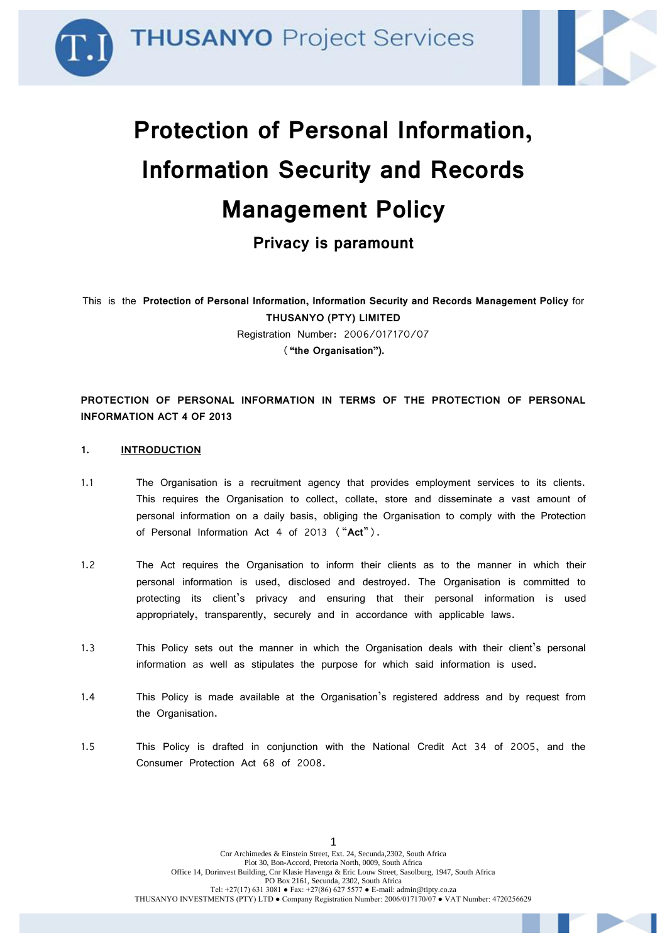



# **Protection of Personal Information, Information Security and Records Management Policy**

**Privacy is paramount**

This is the **Protection of Personal Information, Information Security and Records Management Policy** for **THUSANYO (PTY) LIMITED** Registration Number: 2006/017170/07 (**"the Organisation").**

**PROTECTION OF PERSONAL INFORMATION IN TERMS OF THE PROTECTION OF PERSONAL INFORMATION ACT 4 OF 2013**

#### **1. INTRODUCTION**

- 1.1 The Organisation is a recruitment agency that provides employment services to its clients. This requires the Organisation to collect, collate, store and disseminate a vast amount of personal information on a daily basis, obliging the Organisation to comply with the Protection of Personal Information Act 4 of 2013 ("**Act**").
- 1.2 The Act requires the Organisation to inform their clients as to the manner in which their personal information is used, disclosed and destroyed. The Organisation is committed to protecting its client's privacy and ensuring that their personal information is used appropriately, transparently, securely and in accordance with applicable laws.
- 1.3 This Policy sets out the manner in which the Organisation deals with their client's personal information as well as stipulates the purpose for which said information is used.
- 1.4 This Policy is made available at the Organisation's registered address and by request from the Organisation.
- 1.5 This Policy is drafted in conjunction with the National Credit Act 34 of 2005, and the Consumer Protection Act 68 of 2008.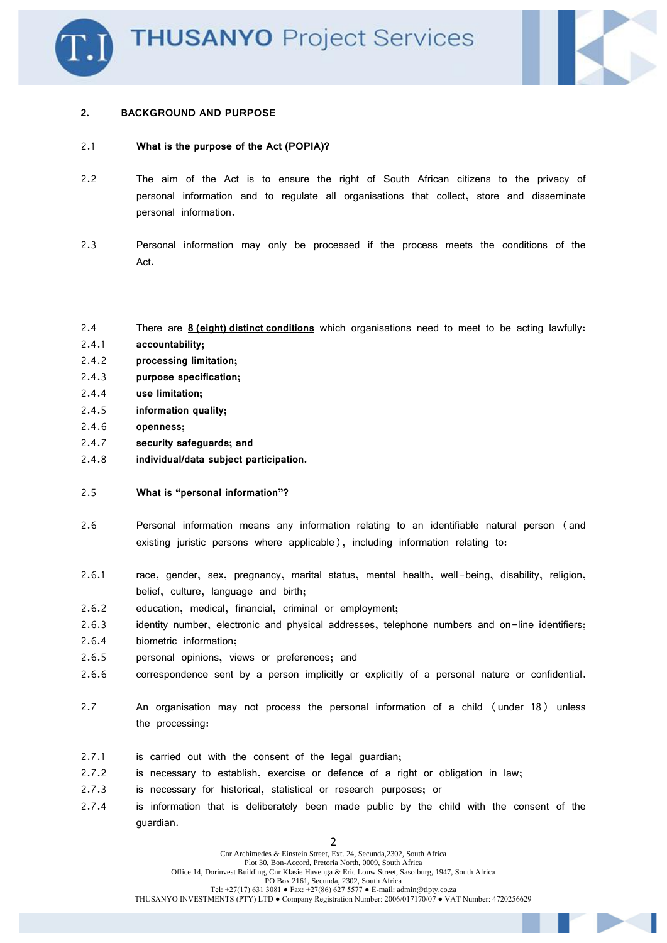

#### **2. BACKGROUND AND PURPOSE**

#### 2.1 **What is the purpose of the Act (POPIA)?**

- 2.2 The aim of the Act is to ensure the right of South African citizens to the privacy of personal information and to regulate all organisations that collect, store and disseminate personal information.
- 2.3 Personal information may only be processed if the process meets the conditions of the Act.
- 2.4 There are **8 (eight) distinct conditions** which organisations need to meet to be acting lawfully:
- 2.4.1 **accountability;**
- 2.4.2 **processing limitation;**
- 2.4.3 **purpose specification;**
- 2.4.4 **use limitation;**
- 2.4.5 **information quality;**
- 2.4.6 **openness;**
- 2.4.7 **security safeguards; and**
- 2.4.8 **individual/data subject participation.**
- 2.5 **What is "personal information"?**
- 2.6 Personal information means any information relating to an identifiable natural person (and existing juristic persons where applicable), including information relating to:
- 2.6.1 race, gender, sex, pregnancy, marital status, mental health, well-being, disability, religion, belief, culture, language and birth;
- 2.6.2 education, medical, financial, criminal or employment;
- 2.6.3 identity number, electronic and physical addresses, telephone numbers and on-line identifiers;
- 2.6.4 biometric information;
- 2.6.5 personal opinions, views or preferences; and
- 2.6.6 correspondence sent by a person implicitly or explicitly of a personal nature or confidential.
- 2.7 An organisation may not process the personal information of a child (under 18) unless the processing:
- 2.7.1 is carried out with the consent of the legal guardian;
- 2.7.2 is necessary to establish, exercise or defence of a right or obligation in law;
- 2.7.3 is necessary for historical, statistical or research purposes; or
- 2.7.4 is information that is deliberately been made public by the child with the consent of the guardian.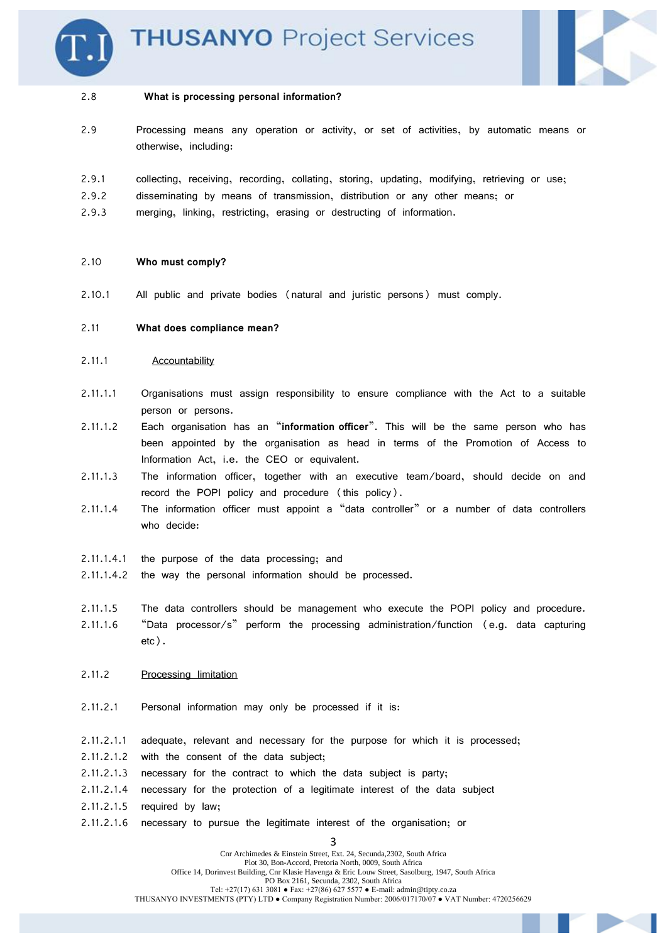



#### 2.8 **What is processing personal information?**

- 2.9 Processing means any operation or activity, or set of activities, by automatic means or otherwise, including:
- 2.9.1 collecting, receiving, recording, collating, storing, updating, modifying, retrieving or use;
- 2.9.2 disseminating by means of transmission, distribution or any other means; or
- 2.9.3 merging, linking, restricting, erasing or destructing of information.

#### 2.10 **Who must comply?**

2.10.1 All public and private bodies (natural and juristic persons) must comply.

#### 2.11 **What does compliance mean?**

- 2.11.1 Accountability
- 2.11.1.1 Organisations must assign responsibility to ensure compliance with the Act to a suitable person or persons.
- 2.11.1.2 Each organisation has an "**information officer**". This will be the same person who has been appointed by the organisation as head in terms of the Promotion of Access to Information Act, i.e. the CEO or equivalent.
- 2.11.1.3 The information officer, together with an executive team/board, should decide on and record the POPI policy and procedure (this policy).
- 2.11.1.4 The information officer must appoint a "data controller" or a number of data controllers who decide:
- 2.11.1.4.1 the purpose of the data processing; and
- 2.11.1.4.2 the way the personal information should be processed.
- 2.11.1.5 The data controllers should be management who execute the POPI policy and procedure. 2.11.1.6 "Data processor/s" perform the processing administration/function (e.g. data capturing etc).
- 2.11.2 Processing limitation
- 2.11.2.1 Personal information may only be processed if it is:
- 2.11.2.1.1 adequate, relevant and necessary for the purpose for which it is processed;
- 2.11.2.1.2 with the consent of the data subject;
- 2.11.2.1.3 necessary for the contract to which the data subject is party;
- 2.11.2.1.4 necessary for the protection of a legitimate interest of the data subject
- 2.11.2.1.5 required by law;
- 2.11.2.1.6 necessary to pursue the legitimate interest of the organisation; or

3 Cnr Archimedes & Einstein Street, Ext. 24, Secunda,2302, South Africa Plot 30, Bon-Accord, Pretoria North, 0009, South Africa Office 14, Dorinvest Building, Cnr Klasie Havenga & Eric Louw Street, Sasolburg, 1947, South Africa PO Box 2161, Secunda, 2302, South Africa Tel:  $+27(17)$  631 3081 • Fax:  $+27(86)$  627 5577 • E-mail: admin@tipty.co.za THUSANYO INVESTMENTS (PTY) LTD ● Company Registration Number: 2006/017170/07 ● VAT Number: 4720256629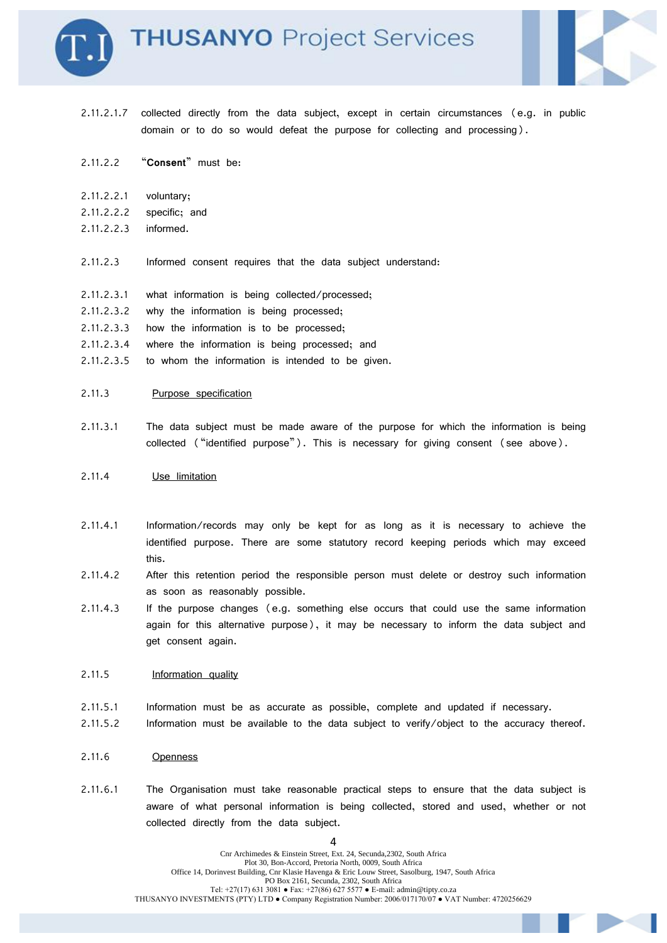



- 2.11.2.1.7 collected directly from the data subject, except in certain circumstances (e.g. in public domain or to do so would defeat the purpose for collecting and processing).
- 2.11.2.2 "**Consent**" must be:
- 2.11.2.2.1 voluntary;
- 2.11.2.2.2 specific; and
- 2.11.2.2.3 informed.
- 2.11.2.3 Informed consent requires that the data subject understand:
- 2.11.2.3.1 what information is being collected/processed;
- 2.11.2.3.2 why the information is being processed;
- 2.11.2.3.3 how the information is to be processed;
- 2.11.2.3.4 where the information is being processed; and
- 2.11.2.3.5 to whom the information is intended to be given.

#### 2.11.3 Purpose specification

2.11.3.1 The data subject must be made aware of the purpose for which the information is being collected ("identified purpose"). This is necessary for giving consent (see above).

#### 2.11.4 Use limitation

- 2.11.4.1 Information/records may only be kept for as long as it is necessary to achieve the identified purpose. There are some statutory record keeping periods which may exceed this.
- 2.11.4.2 After this retention period the responsible person must delete or destroy such information as soon as reasonably possible.
- 2.11.4.3 If the purpose changes (e.g. something else occurs that could use the same information again for this alternative purpose), it may be necessary to inform the data subject and get consent again.

#### 2.11.5 Information quality

- 2.11.5.1 Information must be as accurate as possible, complete and updated if necessary.
- 2.11.5.2 Information must be available to the data subject to verify/object to the accuracy thereof.
- 2.11.6 Openness
- 2.11.6.1 The Organisation must take reasonable practical steps to ensure that the data subject is aware of what personal information is being collected, stored and used, whether or not collected directly from the data subject.

 $\Lambda$ Cnr Archimedes & Einstein Street, Ext. 24, Secunda,2302, South Africa Plot 30, Bon-Accord, Pretoria North, 0009, South Africa Office 14, Dorinvest Building, Cnr Klasie Havenga & Eric Louw Street, Sasolburg, 1947, South Africa PO Box 2161, Secunda, 2302, South Africa Tel:  $+27(17)$  631 3081 • Fax:  $+27(86)$  627 5577 • E-mail: admin@tipty.co.za THUSANYO INVESTMENTS (PTY) LTD ● Company Registration Number: 2006/017170/07 ● VAT Number: 4720256629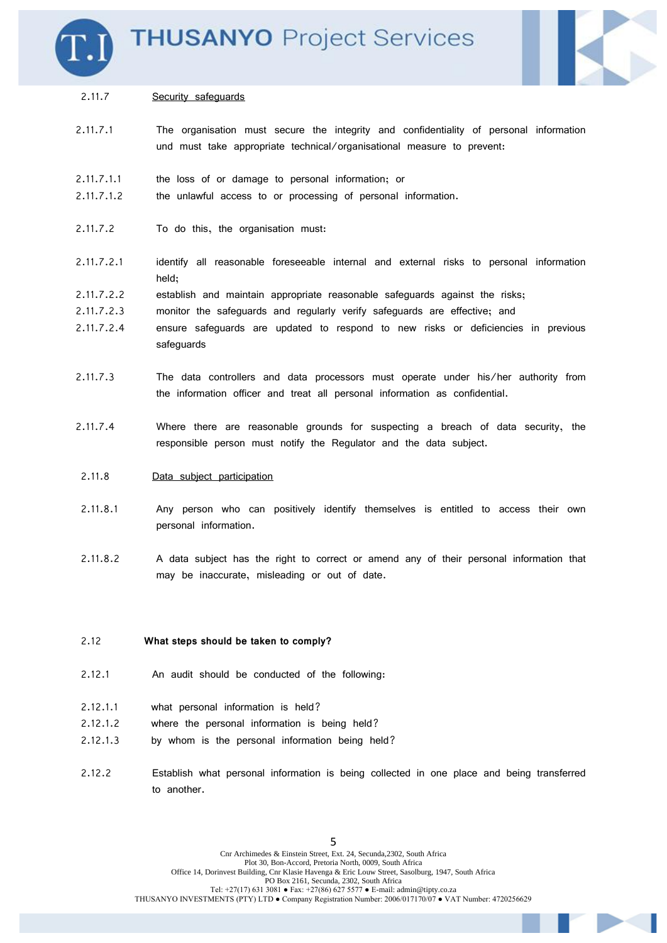



#### 2.11.7 Security safeguards

- 2.11.7.1 The organisation must secure the integrity and confidentiality of personal information und must take appropriate technical/organisational measure to prevent:
- 2.11.7.1.1 the loss of or damage to personal information; or
- 2.11.7.1.2 the unlawful access to or processing of personal information.
- 2.11.7.2 To do this, the organisation must:
- 2.11.7.2.1 identify all reasonable foreseeable internal and external risks to personal information held;
- 2.11.7.2.2 establish and maintain appropriate reasonable safeguards against the risks;
- 2.11.7.2.3 monitor the safeguards and regularly verify safeguards are effective; and
- 2.11.7.2.4 ensure safeguards are updated to respond to new risks or deficiencies in previous safeguards
- 2.11.7.3 The data controllers and data processors must operate under his/her authority from the information officer and treat all personal information as confidential.
- 2.11.7.4 Where there are reasonable grounds for suspecting a breach of data security, the responsible person must notify the Regulator and the data subject.
- 2.11.8 Data subject participation
- 2.11.8.1 Any person who can positively identify themselves is entitled to access their own personal information.
- 2.11.8.2 A data subject has the right to correct or amend any of their personal information that may be inaccurate, misleading or out of date.

#### 2.12 **What steps should be taken to comply?**

- 2.12.1 An audit should be conducted of the following:
- 2.12.1.1 what personal information is held?
- 2.12.1.2 where the personal information is being held?
- 2.12.1.3 by whom is the personal information being held?
- 2.12.2 Establish what personal information is being collected in one place and being transferred to another.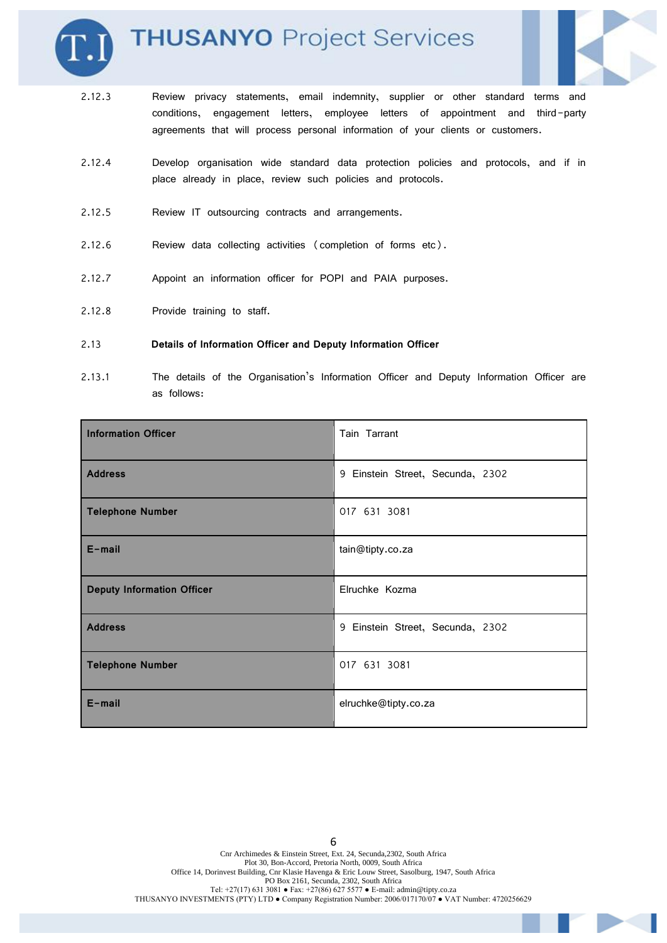

# **THUSANYO Project Services**



- 2.12.3 Review privacy statements, email indemnity, supplier or other standard terms and conditions, engagement letters, employee letters of appointment and third-party agreements that will process personal information of your clients or customers.
- 2.12.4 Develop organisation wide standard data protection policies and protocols, and if in place already in place, review such policies and protocols.
- 2.12.5 Review IT outsourcing contracts and arrangements.
- 2.12.6 Review data collecting activities (completion of forms etc).
- 2.12.7 Appoint an information officer for POPI and PAIA purposes.
- 2.12.8 Provide training to staff.

#### 2.13 **Details of Information Officer and Deputy Information Officer**

2.13.1 The details of the Organisation's Information Officer and Deputy Information Officer are as follows:

| <b>Information Officer</b>        | Tain Tarrant                     |
|-----------------------------------|----------------------------------|
| <b>Address</b>                    | 9 Einstein Street, Secunda, 2302 |
| <b>Telephone Number</b>           | 017 631 3081                     |
| $E$ -mail                         | tain@tipty.co.za                 |
| <b>Deputy Information Officer</b> | Elruchke Kozma                   |
| <b>Address</b>                    | 9 Einstein Street, Secunda, 2302 |
| <b>Telephone Number</b>           | 017 631 3081                     |
| $E$ -mail                         | elruchke@tipty.co.za             |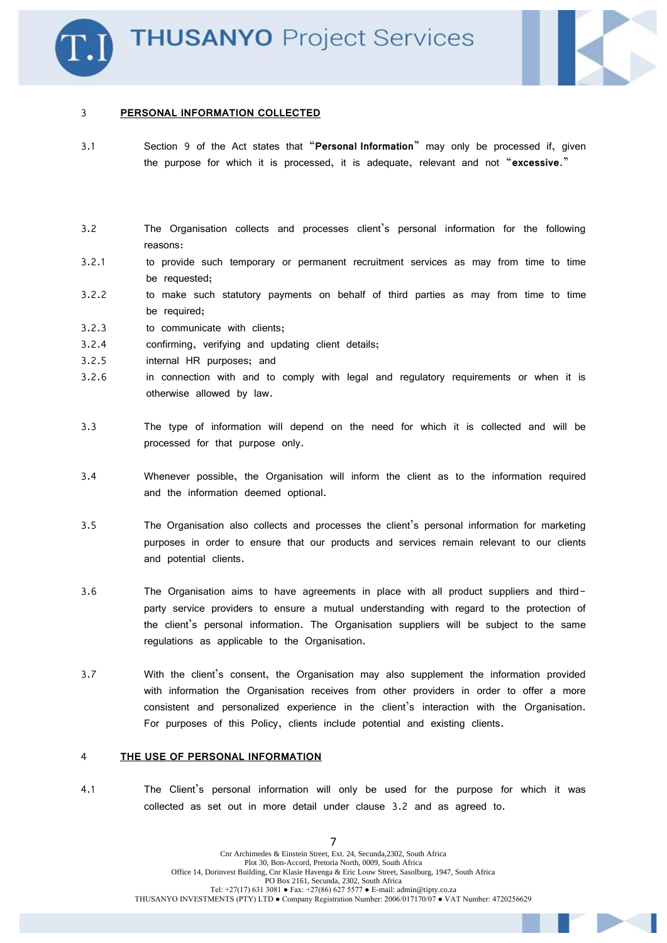

#### 3 **PERSONAL INFORMATION COLLECTED**

3.1 Section 9 of the Act states that "**Personal Information**" may only be processed if, given the purpose for which it is processed, it is adequate, relevant and not "**excessive**."

## 3.2 The Organisation collects and processes client's personal information for the following reasons:

- 3.2.1 to provide such temporary or permanent recruitment services as may from time to time be requested;
- 3.2.2 to make such statutory payments on behalf of third parties as may from time to time be required;
- 3.2.3 to communicate with clients;
- 3.2.4 confirming, verifying and updating client details;
- 3.2.5 internal HR purposes; and
- 3.2.6 in connection with and to comply with legal and regulatory requirements or when it is otherwise allowed by law.
- 3.3 The type of information will depend on the need for which it is collected and will be processed for that purpose only.
- 3.4 Whenever possible, the Organisation will inform the client as to the information required and the information deemed optional.
- 3.5 The Organisation also collects and processes the client's personal information for marketing purposes in order to ensure that our products and services remain relevant to our clients and potential clients.
- 3.6 The Organisation aims to have agreements in place with all product suppliers and thirdparty service providers to ensure a mutual understanding with regard to the protection of the client's personal information. The Organisation suppliers will be subject to the same regulations as applicable to the Organisation.
- 3.7 With the client's consent, the Organisation may also supplement the information provided with information the Organisation receives from other providers in order to offer a more consistent and personalized experience in the client's interaction with the Organisation. For purposes of this Policy, clients include potential and existing clients.

#### 4 **THE USE OF PERSONAL INFORMATION**

4.1 The Client's personal information will only be used for the purpose for which it was collected as set out in more detail under clause 3.2 and as agreed to.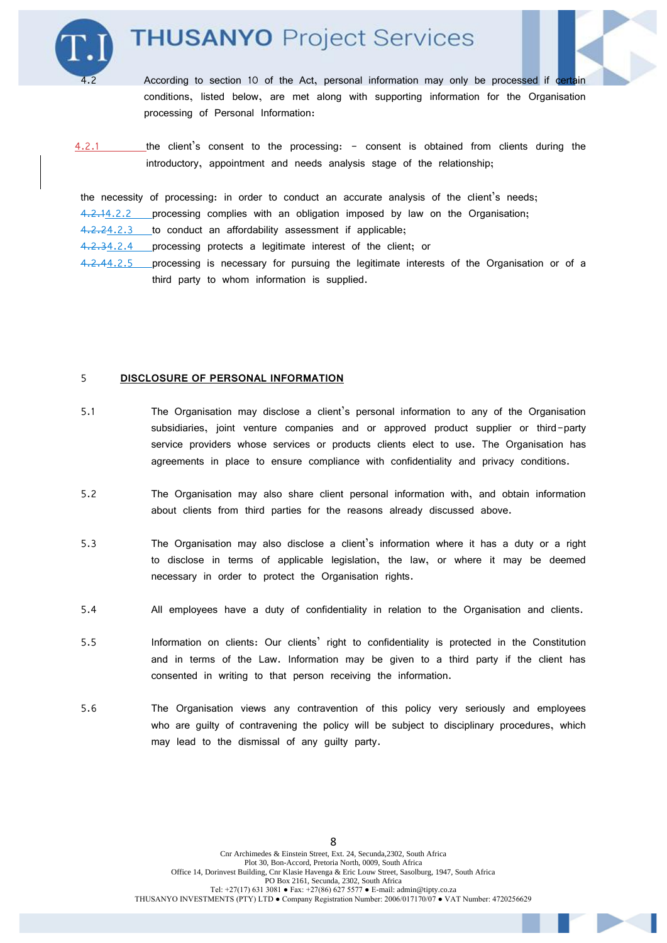# **THUSANYO Project Services**



According to section 10 of the Act, personal information may only be processed if certain conditions, listed below, are met along with supporting information for the Organisation processing of Personal Information:

4.2.1 the client's consent to the processing: - consent is obtained from clients during the introductory, appointment and needs analysis stage of the relationship;

the necessity of processing: in order to conduct an accurate analysis of the client's needs; 4.2.14.2.2 processing complies with an obligation imposed by law on the Organisation;

4.2.24.2.3 to conduct an affordability assessment if applicable;

4.2.34.2.4 processing protects a legitimate interest of the client; or

4.2.44.2.5 processing is necessary for pursuing the legitimate interests of the Organisation or of a third party to whom information is supplied.

#### 5 **DISCLOSURE OF PERSONAL INFORMATION**

- 5.1 The Organisation may disclose a client's personal information to any of the Organisation subsidiaries, joint venture companies and or approved product supplier or third-party service providers whose services or products clients elect to use. The Organisation has agreements in place to ensure compliance with confidentiality and privacy conditions.
- 5.2 The Organisation may also share client personal information with, and obtain information about clients from third parties for the reasons already discussed above.
- 5.3 The Organisation may also disclose a client's information where it has a duty or a right to disclose in terms of applicable legislation, the law, or where it may be deemed necessary in order to protect the Organisation rights.
- 5.4 All employees have a duty of confidentiality in relation to the Organisation and clients.
- 5.5 Information on clients: Our clients' right to confidentiality is protected in the Constitution and in terms of the Law. Information may be given to a third party if the client has consented in writing to that person receiving the information.
- 5.6 The Organisation views any contravention of this policy very seriously and employees who are guilty of contravening the policy will be subject to disciplinary procedures, which may lead to the dismissal of any guilty party.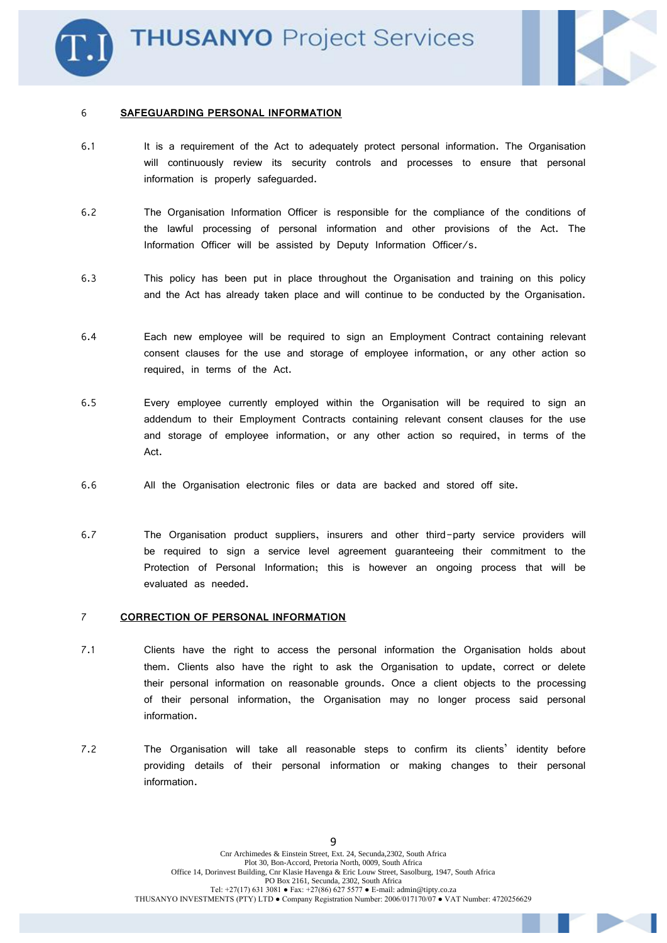

### 6 **SAFEGUARDING PERSONAL INFORMATION**

- 6.1 It is a requirement of the Act to adequately protect personal information. The Organisation will continuously review its security controls and processes to ensure that personal information is properly safeguarded.
- 6.2 The Organisation Information Officer is responsible for the compliance of the conditions of the lawful processing of personal information and other provisions of the Act. The Information Officer will be assisted by Deputy Information Officer/s.
- 6.3 This policy has been put in place throughout the Organisation and training on this policy and the Act has already taken place and will continue to be conducted by the Organisation.
- 6.4 Each new employee will be required to sign an Employment Contract containing relevant consent clauses for the use and storage of employee information, or any other action so required, in terms of the Act.
- 6.5 Every employee currently employed within the Organisation will be required to sign an addendum to their Employment Contracts containing relevant consent clauses for the use and storage of employee information, or any other action so required, in terms of the Act.
- 6.6 All the Organisation electronic files or data are backed and stored off site.
- 6.7 The Organisation product suppliers, insurers and other third-party service providers will be required to sign a service level agreement guaranteeing their commitment to the Protection of Personal Information; this is however an ongoing process that will be evaluated as needed.

## 7 **CORRECTION OF PERSONAL INFORMATION**

- 7.1 Clients have the right to access the personal information the Organisation holds about them. Clients also have the right to ask the Organisation to update, correct or delete their personal information on reasonable grounds. Once a client objects to the processing of their personal information, the Organisation may no longer process said personal information.
- 7.2 The Organisation will take all reasonable steps to confirm its clients' identity before providing details of their personal information or making changes to their personal information.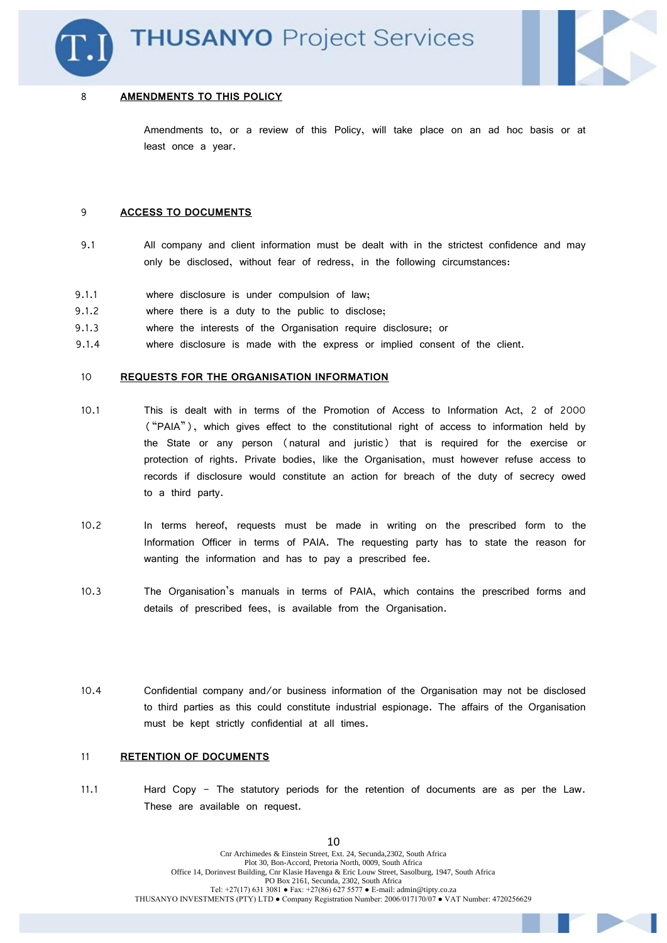

#### 8 **AMENDMENTS TO THIS POLICY**

Amendments to, or a review of this Policy, will take place on an ad hoc basis or at least once a year.

#### 9 **ACCESS TO DOCUMENTS**

- 9.1 All company and client information must be dealt with in the strictest confidence and may only be disclosed, without fear of redress, in the following circumstances:
- 9.1.1 where disclosure is under compulsion of law;
- 9.1.2 where there is a duty to the public to disclose;
- 9.1.3 where the interests of the Organisation require disclosure; or
- 9.1.4 where disclosure is made with the express or implied consent of the client.

#### 10 **REQUESTS FOR THE ORGANISATION INFORMATION**

- 10.1 This is dealt with in terms of the Promotion of Access to Information Act, 2 of 2000 ("PAIA"), which gives effect to the constitutional right of access to information held by the State or any person (natural and juristic) that is required for the exercise or protection of rights. Private bodies, like the Organisation, must however refuse access to records if disclosure would constitute an action for breach of the duty of secrecy owed to a third party.
- 10.2 In terms hereof, requests must be made in writing on the prescribed form to the Information Officer in terms of PAIA. The requesting party has to state the reason for wanting the information and has to pay a prescribed fee.
- 10.3 The Organisation's manuals in terms of PAIA, which contains the prescribed forms and details of prescribed fees, is available from the Organisation.
- 10.4 Confidential company and/or business information of the Organisation may not be disclosed to third parties as this could constitute industrial espionage. The affairs of the Organisation must be kept strictly confidential at all times.

#### 11 **RETENTION OF DOCUMENTS**

11.1 Hard Copy - The statutory periods for the retention of documents are as per the Law. These are available on request.

10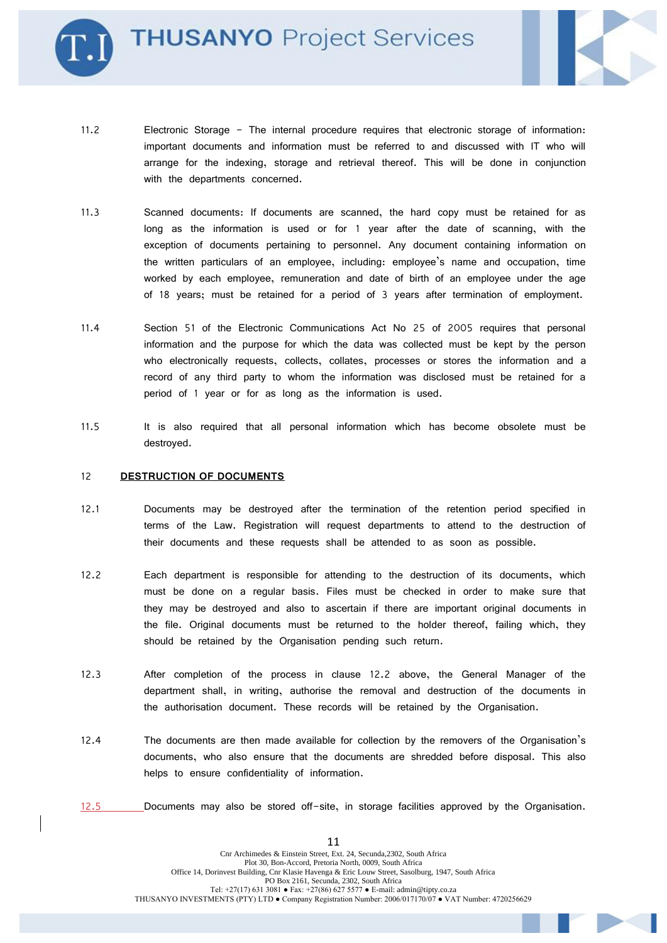**THUSANYO Project Services** 



- 11.2 Electronic Storage The internal procedure requires that electronic storage of information: important documents and information must be referred to and discussed with IT who will arrange for the indexing, storage and retrieval thereof. This will be done in conjunction with the departments concerned.
- 11.3 Scanned documents: If documents are scanned, the hard copy must be retained for as long as the information is used or for 1 year after the date of scanning, with the exception of documents pertaining to personnel. Any document containing information on the written particulars of an employee, including: employee's name and occupation, time worked by each employee, remuneration and date of birth of an employee under the age of 18 years; must be retained for a period of 3 years after termination of employment.
- 11.4 Section 51 of the Electronic Communications Act No 25 of 2005 requires that personal information and the purpose for which the data was collected must be kept by the person who electronically requests, collects, collates, processes or stores the information and a record of any third party to whom the information was disclosed must be retained for a period of 1 year or for as long as the information is used.
- 11.5 It is also required that all personal information which has become obsolete must be destroyed.

#### 12 **DESTRUCTION OF DOCUMENTS**

- 12.1 Documents may be destroyed after the termination of the retention period specified in terms of the Law. Registration will request departments to attend to the destruction of their documents and these requests shall be attended to as soon as possible.
- 12.2 Each department is responsible for attending to the destruction of its documents, which must be done on a regular basis. Files must be checked in order to make sure that they may be destroyed and also to ascertain if there are important original documents in the file. Original documents must be returned to the holder thereof, failing which, they should be retained by the Organisation pending such return.
- 12.3 After completion of the process in clause 12.2 above, the General Manager of the department shall, in writing, authorise the removal and destruction of the documents in the authorisation document. These records will be retained by the Organisation.
- 12.4 The documents are then made available for collection by the removers of the Organisation's documents, who also ensure that the documents are shredded before disposal. This also helps to ensure confidentiality of information.
- 12.5 Documents may also be stored off-site, in storage facilities approved by the Organisation.